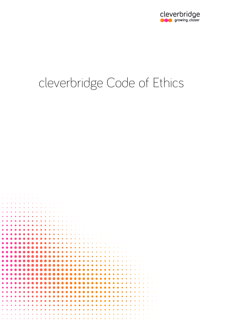

# cleverbridge Code of Ethics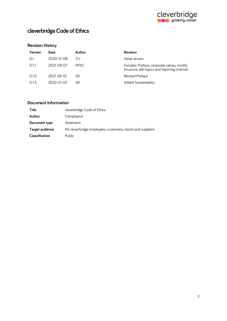

# **cleverbridge Code of Ethics**

## **Revision History**

| Version | Date       | Author | <b>Revision</b>                                                                             |
|---------|------------|--------|---------------------------------------------------------------------------------------------|
| 0.1     | 2020-12-08 | TH     | Initial version                                                                             |
| 0.11    | 2021-09-07 | PKVC.  | Includes: Preface, corporate values, modify<br>structure, add topics and reporting channel. |
| 0.1.2   | 2021-29-10 | SD     | Revised Preface                                                                             |
| 0.1.3   | 2022-21-03 | SD     | <b>Added Sustainability</b>                                                                 |

## **Document Information**

| Title                 | cleverbridge Code of Ethics                                  |
|-----------------------|--------------------------------------------------------------|
| Author                | Compliance                                                   |
| Document type         | Statement                                                    |
| Target audience       | All cleverbridge employees, customers, clients and suppliers |
| <b>Classification</b> | Public                                                       |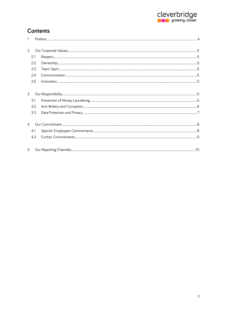

# **Contents**

| $\overline{c}$ |     |  |  |
|----------------|-----|--|--|
| 2.1            |     |  |  |
|                | 2.2 |  |  |
|                | 2.3 |  |  |
| 2.4            |     |  |  |
|                | 2.5 |  |  |
| 3              |     |  |  |
|                | 3.1 |  |  |
|                | 3.2 |  |  |
|                | 3.3 |  |  |
| 4              |     |  |  |
|                | 4.1 |  |  |
|                | 4.2 |  |  |
| 5              |     |  |  |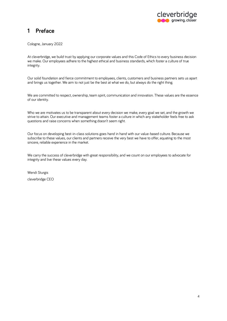

## <span id="page-3-0"></span>**1 Preface**

Cologne, January 2022

At cleverbridge, we build trust by applying our corporate values and this Code of Ethics to every business decision we make. Our employees adhere to the highest ethical and business standards, which foster a culture of true integrity.

Our solid foundation and fierce commitment to employees, clients, customers and business partners sets us apart and brings us together. We aim to not just be the best at what we do, but always do the right thing.

We are committed to respect, ownership, team spirit, communication and innovation. These values are the essence of our identity.

Who we are motivates us to be transparent about every decision we make, every goal we set, and the growth we strive to attain. Our executive and management teams foster a culture in which any stakeholder feels free to ask questions and raise concerns when something doesn't seem right.

Our focus on developing best-in-class solutions goes hand in hand with our value-based culture. Because we subscribe to these values, our clients and partners receive the very best we have to offer, equating to the most sincere, reliable experience in the market.

We carry the success of cleverbridge with great responsibility, and we count on our employees to advocate for integrity and live these values every day.

Wendi Sturgis cleverbridge CEO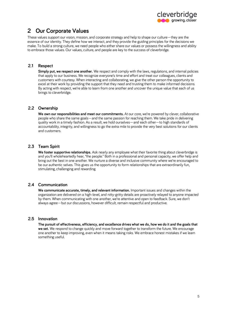

# <span id="page-4-0"></span>**2 Our Corporate Values**

These values support our vision, mission, and corporate strategy and help to shape our culture—they are the essence of our identity. They define how we interact, and they provide the guiding principles for the decisions we make. To build a strong culture, we need people who either share our values or possess the willingness and ability to embrace those values. Our values, culture, and people are key to the success of cleverbridge.

#### <span id="page-4-1"></span>**2.1 Respect**

**Simply put, we respect one another.** We respect and comply with the laws, regulations, and internal policies that apply to our business. We recognize everyone's time and effort and treat our colleagues, clients and customers with courtesy. When interacting and collaborating, we give the other person the opportunity to excel at their work by providing the support that they need and trusting them to make informed decisions. By acting with respect, we're able to learn from one another and uncover the unique value that each of us brings to cleverbridge.

#### <span id="page-4-2"></span>**2.2 Ownership**

We own our responsibilities and meet our commitments. At our core, we're powered by clever, collaborative people who share the same goals—and the same passion for reaching them. We take pride in delivering quality work in a timely fashion. As a result, we hold ourselves—and each other—to high standards of accountability, integrity, and willingness to go the extra mile to provide the very best solutions for our clients and customers.

## <span id="page-4-3"></span>**2.3 Team Spirit**

**We foster supportive relationships.** Ask nearly any employee what their favorite thing about cleverbridge is and you'll wholeheartedly hear, "the people." Both in a professional and personal capacity, we offer help and bring out the best in one another. We nurture a diverse and inclusive community where we're encouraged to be our authentic selves. This gives us the opportunity to form relationships that are extraordinarily fun, stimulating, challenging and rewarding.

#### <span id="page-4-4"></span>**2.4 Communication**

**We communicate accurate, timely, and relevant information.** Important issues and changes within the organization are delivered on a high-level, and nitty-gritty details are proactively relayed to anyone impacted by them. When communicating with one another, we're attentive and open to feedback. Sure, we don't always agree—but our discussions, however difficult, remain respectful and productive.

#### <span id="page-4-5"></span>**2.5 Innovation**

**The pursuit of effectiveness, efficiency, and excellence drives what we do, how we do it and the goals that we set.** We respond to change quickly and move forward together to transform the future. We encourage one another to keep improving, even when it means taking risks. We embrace honest mistakes if we learn something useful.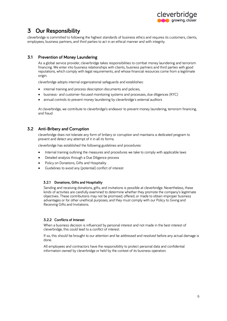

# <span id="page-5-0"></span>**3 Our Responsibility**

cleverbridge is committed to following the highest standards of business ethics and requires its customers, clients, employees, business partners, and third parties to act in an ethical manner and with integrity.

### <span id="page-5-1"></span>**3.1 Prevention of Money Laundering**

As a global service provider, cleverbridge takes responsibilities to combat money laundering and terrorism financing. We enter into business relationships with clients, business partners and third parties with good reputations, which comply with legal requirements, and whose financial resources come from a legitimate origin.

cleverbridge adopts internal organizational safeguards and establishes:

- internal training and process description documents and policies,
- business- and customer-focused monitoring systems and processes, due diligences (KYC)
- annual controls to prevent money laundering by cleverbridge's external auditors

At cleverbridge, we contribute to cleverbridge's endeavor to prevent money laundering, terrorism financing, and fraud.

#### <span id="page-5-2"></span>**3.2 Anti-Bribery and Corruption**

cleverbridge does not tolerate any form of bribery or corruption and maintains a dedicated program to prevent and detect any attempt of it in all its forms.

cleverbridge has established the following guidelines and procedures:

- Internal training outlining the measures and procedures we take to comply with applicable laws
- Detailed analysis through a Due Diligence process
- Policy on Donations, Gifts and Hospitality
- Guidelines to avoid any (potential) conflict of interest

#### **3.2.1 Donations, Gifts and Hospitality**

Sending and receiving donations, gifts, and invitations is possible at cleverbridge. Nevertheless, these kinds of activities are carefully examined to determine whether they promote the company's legitimate objectives. These contributions may not be promised, offered, or made to obtain improper business advantages or for other unethical purposes, and they must comply with our Policy to Giving and Receiving Gifts and Invitations.

#### **3.2.2 Conflicts of Interest**

When a business decision is influenced by personal interest and not made in the best interest of cleverbridge, this could lead to a conflict of interest.

If so, this should be brought to our attention and be addressed and resolved before any actual damage is done.

All employees and contractors have the responsibility to protect personal data and confidential information owned by cleverbridge or held by the context of its business operation.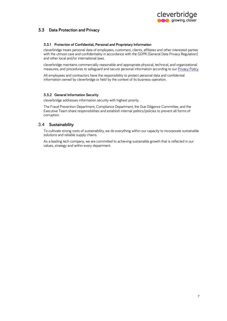

## <span id="page-6-0"></span>**3.3 Data Protection and Privacy**

#### **3.3.1 Protection of Confidential, Personal and Proprietary Information**

cleverbridge treats personal data of employees, customers, clients, affiliates and other interested parties with the utmost care and confidentiality in accordance with the GDPR (General Data Privacy Regulation) and other local and/or international laws.

cleverbridge maintains commercially reasonable and appropriate physical, technical, and organizational measures, and procedures to safeguard and secure personal information according to ou[r Privacy Policy.](https://grow.cleverbridge.com/privacy-policy) 

All employees and contractors have the responsibility to protect personal data and confidential information owned by cleverbridge or held by the context of its business operation.

#### **3.3.2 General Information Security**

cleverbridge addresses information security with highest priority.

The Fraud Prevention Department, Compliance Department, the Due Diligence Committee, and the Executive Team share responsibilities and establish internal politics/policies to prevent all forms of corruption.

#### 3.4 **Sustainability**

To cultivate strong roots of sustainability, we do everything within our capacity to incorporate sustainable solutions and reliable supply chains.

As a leading tech company, we are committed to achieving sustainable growth that is reflected in our values, strategy and within every department.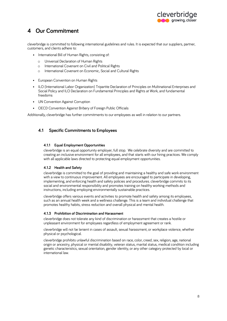

## <span id="page-7-0"></span>**4 Our Commitment**

cleverbridge is committed to following international guidelines and rules. It is expected that our suppliers, partner, customers, and clients adhere to:

- International Bill of Human Rights, consisting of:
	- o Universal Declaration of Human Rights
	- o International Covenant on Civil and Political Rights
	- o International Covenant on Economic, Social and Cultural Rights
- European Convention on Human Rights
- ILO (International Labor Organization) Tripartite Declaration of Principles on Multinational Enterprises and Social Policy and ILO Declaration on Fundamental Principles and Rights at Work, and fundamental freedoms
- UN Convention Against Corruption
- OECD Convention Against Bribery of Foreign Public Officials

Additionally, cleverbridge has further commitments to our employees as well in relation to our partners.

#### <span id="page-7-1"></span>**4.1 Specific Commitments to Employees**

#### **4.1.1 Equal Employment Opportunities**

cleverbridge is an equal opportunity employer, full stop. We celebrate diversity and are committed to creating an inclusive environment for all employees, and that starts with our hiring practices. We comply with all applicable laws directed to protecting equal employment opportunities.

#### **4.1.2 Health and Safety**

cleverbridge is committed to the goal of providing and maintaining a healthy and safe work environment with a view to continuous improvement. All employees are encouraged to participate in developing, implementing, and enforcing health and safety policies and procedures. cleverbridge commits to its social and environmental responsibility and promotes training on healthy working methods and instructions, including employing environmentally sustainable practices.

cleverbridge offers various events and activities to promote health and safety among its employees, such as an annual health week and a wellness challenge. This is a team and individual challenge that promotes healthy habits, stress reduction and overall physical and mental health.

#### **4.1.3 Prohibition of Discrimination and Harassment**

cleverbridge does not tolerate any kind of discrimination or harassment that creates a hostile or unpleasant environment for employees regardless of employment agreement or rank.

cleverbridge will not be lenient in cases of assault, sexual harassment, or workplace violence, whether physical or psychological.

cleverbridge prohibits unlawful discrimination based on race, color, creed, sex, religion, age, national origin or ancestry, physical or mental disability, veteran status, marital status, medical condition including genetic characteristics, sexual orientation, gender identity, or any other category protected by local or international law.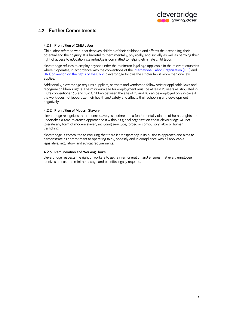

## <span id="page-8-0"></span>**4.2 Further Commitments**

#### **4.2.1 Prohibition of Child Labor**

Child labor refers to work that deprives children of their childhood and affects their schooling, their potential and their dignity. It is harmful to them mentally, physically, and socially as well as harming their right of access to education. cleverbridge is committed to helping eliminate child labor.

cleverbridge refuses to employ anyone under the minimum legal age applicable in the relevant countries where it operates, in accordance with the conventions of the [International Labor Organization \(ILO\)](https://www.ilo.org/global/topics/child-labour/lang--en/index.htm) and [UN Convention on the rights of the Child.](https://www.ohchr.org/en/professionalinterest/pages/crc.aspx) cleverbridge follows the stricter law if more than one law applies.

Additionally, cleverbridge requires suppliers, partners and vendors to follow stricter applicable laws and recognize children's rights. The minimum age for employment must be at least 15 years as stipulated in ILO's conventions 138 and 182. Children between the age of 15 and 18 can be employed only in case if the work does not jeopardize their health and safety and affects their schooling and development negatively.

#### **4.2.2 Prohibition of Modern Slavery**

cleverbridge recognizes that modern slavery is a crime and a fundamental violation of human rights and undertakes a zero-tolerance approach to it within its global organization chain. cleverbridge will not tolerate any form of modern slavery including servitude, forced or compulsory labor or human trafficking.

cleverbridge is committed to ensuring that there is transparency in its business approach and aims to demonstrate its commitment to operating fairly, honestly and in compliance with all applicable legislative, regulatory, and ethical requirements.

#### **4.2.3 Remuneration and Working Hours**

cleverbridge respects the right of workers to get fair remuneration and ensures that every employee receives at least the minimum wage and benefits legally required.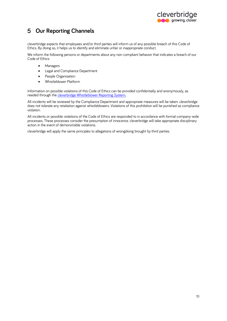

# <span id="page-9-0"></span>5 **Our Reporting Channels**

cleverbridge expects that employees and/or third parties will inform us of any possible breach of this Code of Ethics. By doing so, it helps us to identify and eliminate unfair or inappropriate conduct.

We inform the following persons or departments about any non-compliant behavior that indicates a breach of our Code of Ethics:

- Managers
- Legal and Compliance Department
- People Organization
- Whistleblower Platform

Information on possible violations of this Code of Ethics can be provided confidentially and anonymously, as needed through the [cleverbridge Whistleblower Reporting System..](https://ihaveaclue.cleverbridge.com/) 

All incidents will be reviewed by the Compliance Department and appropriate measures will be taken. cleverbridge does not tolerate any retaliation against whistleblowers. Violations of this prohibition will be punished as compliance violation.

All incidents or possible violations of the Code of Ethics are responded to in accordance with formal company-wide processes. These processes consider the presumption of innocence. cleverbridge will take appropriate disciplinary action in the event of demonstrable violations.

cleverbridge will apply the same principles to allegations of wrongdoing brought by third parties.